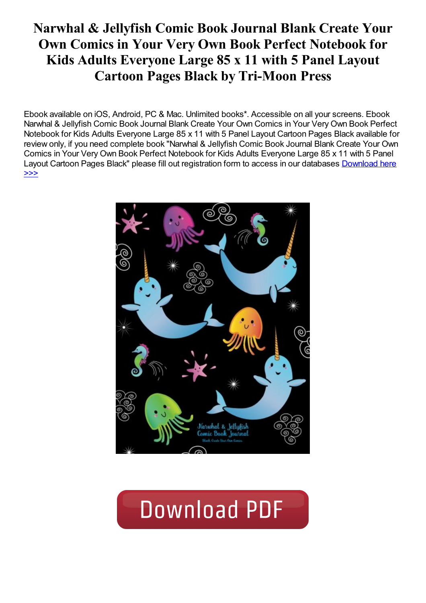# Narwhal & Jellyfish Comic Book Journal Blank Create Your Own Comics in Your Very Own Book Perfect Notebook for Kids Adults Everyone Large 85 x 11 with 5 Panel Layout Cartoon Pages Black by Tri-Moon Press

Ebook available on iOS, Android, PC & Mac. Unlimited books\*. Accessible on all your screens. Ebook Narwhal & Jellyfish Comic Book Journal Blank Create Your Own Comics in Your Very Own Book Perfect Notebook for Kids Adults Everyone Large 85 x 11 with 5 Panel Layout Cartoon Pages Black available for review only, if you need complete book "Narwhal & Jellyfish Comic Book Journal Blank Create Your Own Comics in Your Very Own Book Perfect Notebook for Kids Adults Everyone Large 85 x 11 with 5 Panel Layout Cartoon Pages Black" please fill out [registration](https://damnweek.com/sbookfile/TmFyd2hhbCAmIEplbGx5ZmlzaCBDb21pYyBCb29rIEpvdXJuYWwsIEJsYW5rLCBDcmVhdGUgWW91ciBPd24gQ29taWNzOiBpbiBZb3VyIFZlcnkgT3duIEJvb2shIFBlcmZlY3QgTm90ZWJvb2sgZm9yIEtpZHMsIEFkdWx0cywgRXZlcnlvbmUhICBMYXJnZSwgOC41IHggMTEsIHdpdGggNSBQYW5lbCBMYXlvdXQgQ2FydG9vbiBQYWdlcyAtIEJsYWNr) form to access in our databases **Download here** >>>



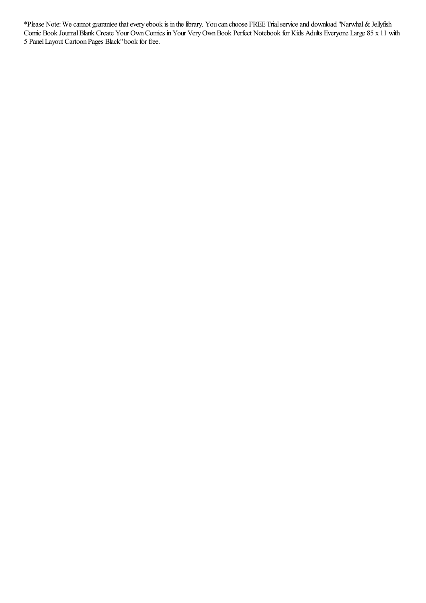\*Please Note:Wecannot guaranteethatevery ebook is in thelibrary. You can choose FREE Trialserviceand download "Narwhal&Jellyfish Comic Book JournalBlank Create Your OwnComics inYour VeryOwnBook Perfect Notebook for Kids Adults Everyone Large 85 x 11 with 5 PanelLayout Cartoon Pages Black"book for free.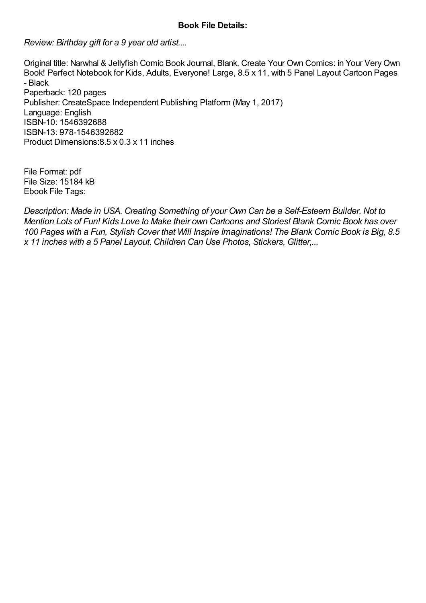## Book File Details:

Review: Birthday gift for a 9 year old artist....

Original title: Narwhal & Jellyfish Comic Book Journal, Blank, Create Your Own Comics: in Your Very Own Book! Perfect Notebook for Kids, Adults, Everyone! Large, 8.5 x 11, with 5 Panel Layout Cartoon Pages - Black Paperback: 120 pages Publisher: CreateSpace Independent Publishing Platform (May 1, 2017) Language: English ISBN-10: 1546392688 ISBN-13: 978-1546392682 Product Dimensions:8.5 x 0.3 x 11 inches

File Format: pdf File Size: 15184 kB Ebook File Tags:

Description: Made in USA. Creating Something of your Own Can be a Self-Esteem Builder, Not to Mention Lots of Fun! Kids Love to Make their own Cartoons and Stories! Blank Comic Book has over 100 Pages with a Fun, Stylish Cover that Will Inspire Imaginations! The Blank Comic Book is Big, 8.5 x 11 inches with a 5 Panel Layout. Children Can Use Photos, Stickers, Glitter,...